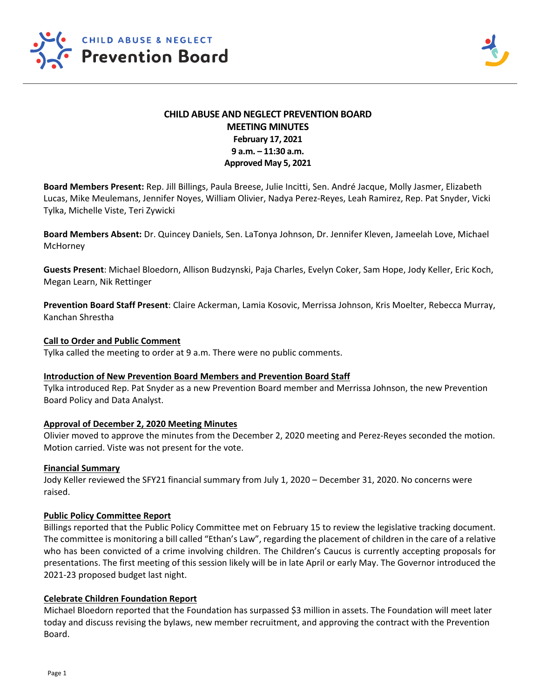

# **CHILD ABUSE AND NEGLECT PREVENTION BOARD MEETING MINUTES February 17, 2021 9 a.m. – 11:30 a.m. Approved May 5, 2021**

**Board Members Present:** Rep. Jill Billings, Paula Breese, Julie Incitti, Sen. André Jacque, Molly Jasmer, Elizabeth Lucas, Mike Meulemans, Jennifer Noyes, William Olivier, Nadya Perez‐Reyes, Leah Ramirez, Rep. Pat Snyder, Vicki Tylka, Michelle Viste, Teri Zywicki

**Board Members Absent:** Dr. Quincey Daniels, Sen. LaTonya Johnson, Dr. Jennifer Kleven, Jameelah Love, Michael **McHorney** 

**Guests Present**: Michael Bloedorn, Allison Budzynski, Paja Charles, Evelyn Coker, Sam Hope, Jody Keller, Eric Koch, Megan Learn, Nik Rettinger

**Prevention Board Staff Present**: Claire Ackerman, Lamia Kosovic, Merrissa Johnson, Kris Moelter, Rebecca Murray, Kanchan Shrestha

# **Call to Order and Public Comment**

Tylka called the meeting to order at 9 a.m. There were no public comments.

# **Introduction of New Prevention Board Members and Prevention Board Staff**

Tylka introduced Rep. Pat Snyder as a new Prevention Board member and Merrissa Johnson, the new Prevention Board Policy and Data Analyst.

# **Approval of December 2, 2020 Meeting Minutes**

Olivier moved to approve the minutes from the December 2, 2020 meeting and Perez-Reyes seconded the motion. Motion carried. Viste was not present for the vote.

# **Financial Summary**

Jody Keller reviewed the SFY21 financial summary from July 1, 2020 – December 31, 2020. No concerns were raised.

# **Public Policy Committee Report**

Billings reported that the Public Policy Committee met on February 15 to review the legislative tracking document. The committee is monitoring a bill called "Ethan's Law", regarding the placement of children in the care of a relative who has been convicted of a crime involving children. The Children's Caucus is currently accepting proposals for presentations. The first meeting of this session likely will be in late April or early May. The Governor introduced the 2021‐23 proposed budget last night.

# **Celebrate Children Foundation Report**

Michael Bloedorn reported that the Foundation has surpassed \$3 million in assets. The Foundation will meet later today and discuss revising the bylaws, new member recruitment, and approving the contract with the Prevention Board.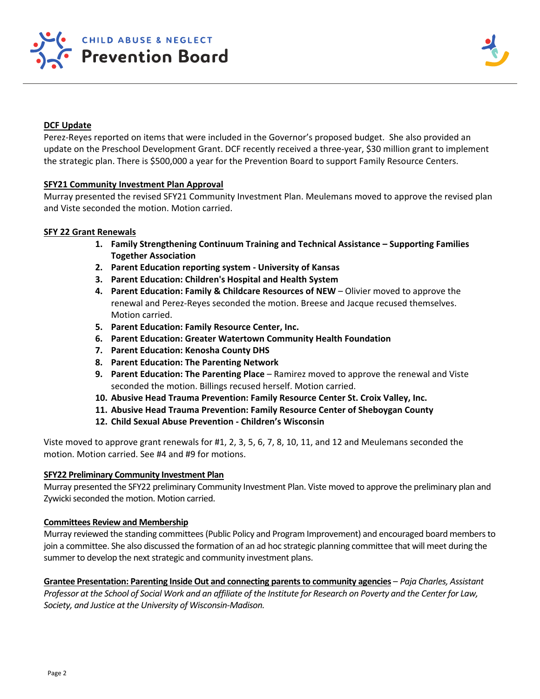



# **DCF Update**

Perez‐Reyes reported on items that were included in the Governor's proposed budget. She also provided an update on the Preschool Development Grant. DCF recently received a three‐year, \$30 million grant to implement the strategic plan. There is \$500,000 a year for the Prevention Board to support Family Resource Centers.

# **SFY21 Community Investment Plan Approval**

Murray presented the revised SFY21 Community Investment Plan. Meulemans moved to approve the revised plan and Viste seconded the motion. Motion carried.

### **SFY 22 Grant Renewals**

- **1. Family Strengthening Continuum Training and Technical Assistance Supporting Families Together Association**
- **2. Parent Education reporting system ‐ University of Kansas**
- **3. Parent Education: Children's Hospital and Health System**
- **4. Parent Education: Family & Childcare Resources of NEW**  Olivier moved to approve the renewal and Perez‐Reyes seconded the motion. Breese and Jacque recused themselves. Motion carried.
- **5. Parent Education: Family Resource Center, Inc.**
- **6. Parent Education: Greater Watertown Community Health Foundation**
- **7. Parent Education: Kenosha County DHS**
- **8. Parent Education: The Parenting Network**
- **9.** Parent Education: The Parenting Place Ramirez moved to approve the renewal and Viste seconded the motion. Billings recused herself. Motion carried.
- **10. Abusive Head Trauma Prevention: Family Resource Center St. Croix Valley, Inc.**
- **11. Abusive Head Trauma Prevention: Family Resource Center of Sheboygan County**
- **12. Child Sexual Abuse Prevention ‐ Children's Wisconsin**

Viste moved to approve grant renewals for #1, 2, 3, 5, 6, 7, 8, 10, 11, and 12 and Meulemans seconded the motion. Motion carried. See #4 and #9 for motions.

#### **SFY22 Preliminary Community Investment Plan**

Murray presented the SFY22 preliminary Community Investment Plan. Viste moved to approve the preliminary plan and Zywicki seconded the motion. Motion carried.

# **Committees Review and Membership**

Murray reviewed the standing committees (Public Policy and Program Improvement) and encouraged board members to join a committee. She also discussed the formation of an ad hoc strategic planning committee that will meet during the summer to develop the next strategic and community investment plans.

Grantee Presentation: Parenting Inside Out and connecting parents to community agencies - *Paja Charles, Assistant Professor at the School of Social Work and an affiliate of the Institute for Research on Poverty and the Center for Law, Society, and Justice at the University of Wisconsin‐Madison.*